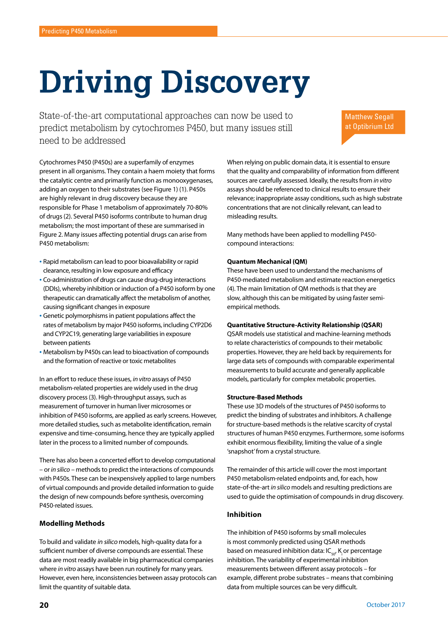# **Driving Discovery**

State-of-the-art computational approaches can now be used to predict metabolism by cytochromes P450, but many issues still need to be addressed

Matthew Segall at Optibrium Ltd

Cytochromes P450 (P450s) are a superfamily of enzymes present in all organisms. They contain a haem moiety that forms the catalytic centre and primarily function as monooxygenases, adding an oxygen to their substrates (see Figure 1) (1). P450s are highly relevant in drug discovery because they are responsible for Phase 1 metabolism of approximately 70-80% of drugs (2). Several P450 isoforms contribute to human drug metabolism; the most important of these are summarised in Figure 2. Many issues affecting potential drugs can arise from P450 metabolism:

- Rapid metabolism can lead to poor bioavailability or rapid clearance, resulting in low exposure and efficacy
- Co-administration of drugs can cause drug-drug interactions (DDIs), whereby inhibition or induction of a P450 isoform by one therapeutic can dramatically affect the metabolism of another, causing significant changes in exposure
- Genetic polymorphisms in patient populations affect the rates of metabolism by major P450 isoforms, including CYP2D6 and CYP2C19, generating large variabilities in exposure between patients
- Metabolism by P450s can lead to bioactivation of compounds and the formation of reactive or toxic metabolites

In an effort to reduce these issues, *in vitro* assays of P450 metabolism-related properties are widely used in the drug discovery process (3). High-throughput assays, such as measurement of turnover in human liver microsomes or inhibition of P450 isoforms, are applied as early screens. However, more detailed studies, such as metabolite identification, remain expensive and time-consuming, hence they are typically applied later in the process to a limited number of compounds.

There has also been a concerted effort to develop computational – or *in silico* – methods to predict the interactions of compounds with P450s. These can be inexpensively applied to large numbers of virtual compounds and provide detailed information to guide the design of new compounds before synthesis, overcoming P450-related issues.

# **Modelling Methods**

To build and validate in silico models, high-quality data for a sufficient number of diverse compounds are essential. These data are most readily available in big pharmaceutical companies where *in vitro* assays have been run routinely for many years. However, even here, inconsistencies between assay protocols can limit the quantity of suitable data.

When relying on public domain data, it is essential to ensure that the quality and comparability of information from different sources are carefully assessed. Ideally, the results from *in vitro*  assays should be referenced to clinical results to ensure their relevance; inappropriate assay conditions, such as high substrate concentrations that are not clinically relevant, can lead to misleading results.

Many methods have been applied to modelling P450 compound interactions:

# **Quantum Mechanical (QM)**

These have been used to understand the mechanisms of P450-mediated metabolism and estimate reaction energetics (4). The main limitation of QM methods is that they are slow, although this can be mitigated by using faster semiempirical methods.

### **Quantitative Structure-Activity Relationship (QSAR)**

QSAR models use statistical and machine-learning methods to relate characteristics of compounds to their metabolic properties. However, they are held back by requirements for large data sets of compounds with comparable experimental measurements to build accurate and generally applicable models, particularly for complex metabolic properties.

### **Structure-Based Methods**

These use 3D models of the structures of P450 isoforms to predict the binding of substrates and inhibitors. A challenge for structure-based methods is the relative scarcity of crystal structures of human P450 enzymes. Furthermore, some isoforms exhibit enormous flexibility, limiting the value of a single 'snapshot' from a crystal structure.

The remainder of this article will cover the most important P450 metabolism-related endpoints and, for each, how state-of-the-art *in silico* models and resulting predictions are used to guide the optimisation of compounds in drug discovery.

# **Inhibition**

The inhibition of P450 isoforms by small molecules is most commonly predicted using QSAR methods based on measured inhibition data:  $IC_{50}$ , K or percentage inhibition. The variability of experimental inhibition measurements between different assay protocols – for example, different probe substrates – means that combining data from multiple sources can be very difficult.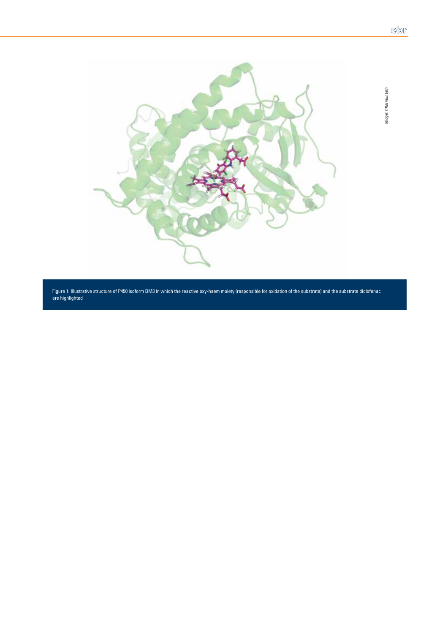*Image: © Rasmus Leth*



Figure 1: Illustrative structure of P450 isoform BM3 in which the reactive oxy-haem moiety (responsible for oxidation of the substrate) and the substrate diclofenac are highlighted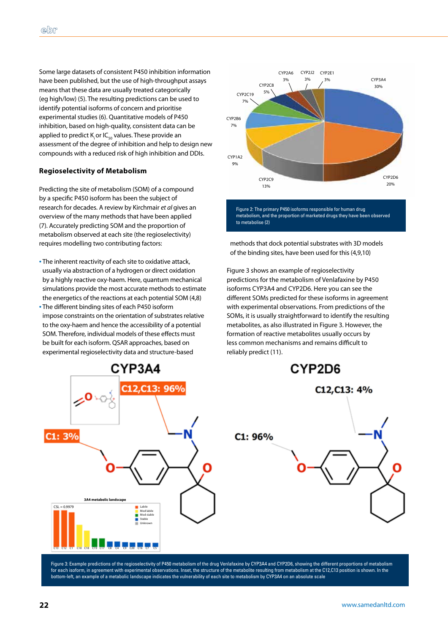Some large datasets of consistent P450 inhibition information have been published, but the use of high-throughput assays means that these data are usually treated categorically (eg high/low) (5). The resulting predictions can be used to identify potential isoforms of concern and prioritise experimental studies (6). Quantitative models of P450 inhibition, based on high-quality, consistent data can be applied to predict  $K_i$  or IC<sub>50</sub> values. These provide an assessment of the degree of inhibition and help to design new compounds with a reduced risk of high inhibition and DDIs.

# **Regioselectivity of Metabolism**

Predicting the site of metabolism (SOM) of a compound by a specific P450 isoform has been the subject of research for decades. A review by Kirchmair *et al* gives an overview of the many methods that have been applied (7). Accurately predicting SOM and the proportion of metabolism observed at each site (the regioselectivity) requires modelling two contributing factors:

- The inherent reactivity of each site to oxidative attack, usually via abstraction of a hydrogen or direct oxidation by a highly reactive oxy-haem. Here, quantum mechanical simulations provide the most accurate methods to estimate the energetics of the reactions at each potential SOM (4,8)
- The different binding sites of each P450 isoform impose constraints on the orientation of substrates relative to the oxy-haem and hence the accessibility of a potential SOM. Therefore, individual models of these effects must be built for each isoform. QSAR approaches, based on experimental regioselectivity data and structure-based



methods that dock potential substrates with 3D models of the binding sites, have been used for this (4,9,10)

Figure 3 shows an example of regioselectivity predictions for the metabolism of Venlafaxine by P450 isoforms CYP3A4 and CYP2D6. Here you can see the different SOMs predicted for these isoforms in agreement with experimental observations. From predictions of the SOMs, it is usually straightforward to identify the resulting metabolites, as also illustrated in Figure 3. However, the formation of reactive metabolites usually occurs by less common mechanisms and remains difficult to reliably predict (11).



Figure 3: Example predictions of the regioselectivity of P450 metabolism of the drug Venlafaxine by CYP3A4 and CYP2D6, showing the different proportions of metabolism for each isoform, in agreement with experimental observations. Inset, the structure of the metabolite resulting from metabolism at the C12,C13 position is shown. In the bottom-left, an example of a metabolic landscape indicates the vulnerability of each site to metabolism by CYP3A4 on an absolute scale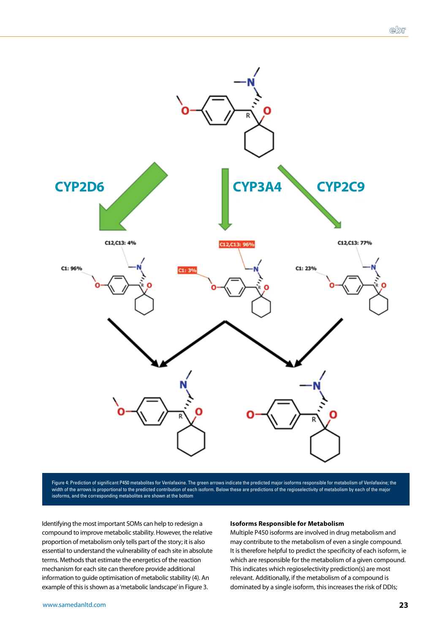

Figure 4: Prediction of significant P450 metabolites for Venlafaxine. The green arrows indicate the predicted major isoforms responsible for metabolism of Venlafaxine; the width of the arrows is proportional to the predicted contribution of each isoform. Below these are predictions of the regioselectivity of metabolism by each of the major isoforms, and the corresponding metabolites are shown at the bottom

Identifying the most important SOMs can help to redesign a compound to improve metabolic stability. However, the relative proportion of metabolism only tells part of the story; it is also essential to understand the vulnerability of each site in absolute terms. Methods that estimate the energetics of the reaction mechanism for each site can therefore provide additional information to guide optimisation of metabolic stability (4). An example of this is shown as a 'metabolic landscape' in Figure 3.

### **Isoforms Responsible for Metabolism**

Multiple P450 isoforms are involved in drug metabolism and may contribute to the metabolism of even a single compound. It is therefore helpful to predict the specificity of each isoform, ie which are responsible for the metabolism of a given compound. This indicates which regioselectivity prediction(s) are most relevant. Additionally, if the metabolism of a compound is dominated by a single isoform, this increases the risk of DDIs;